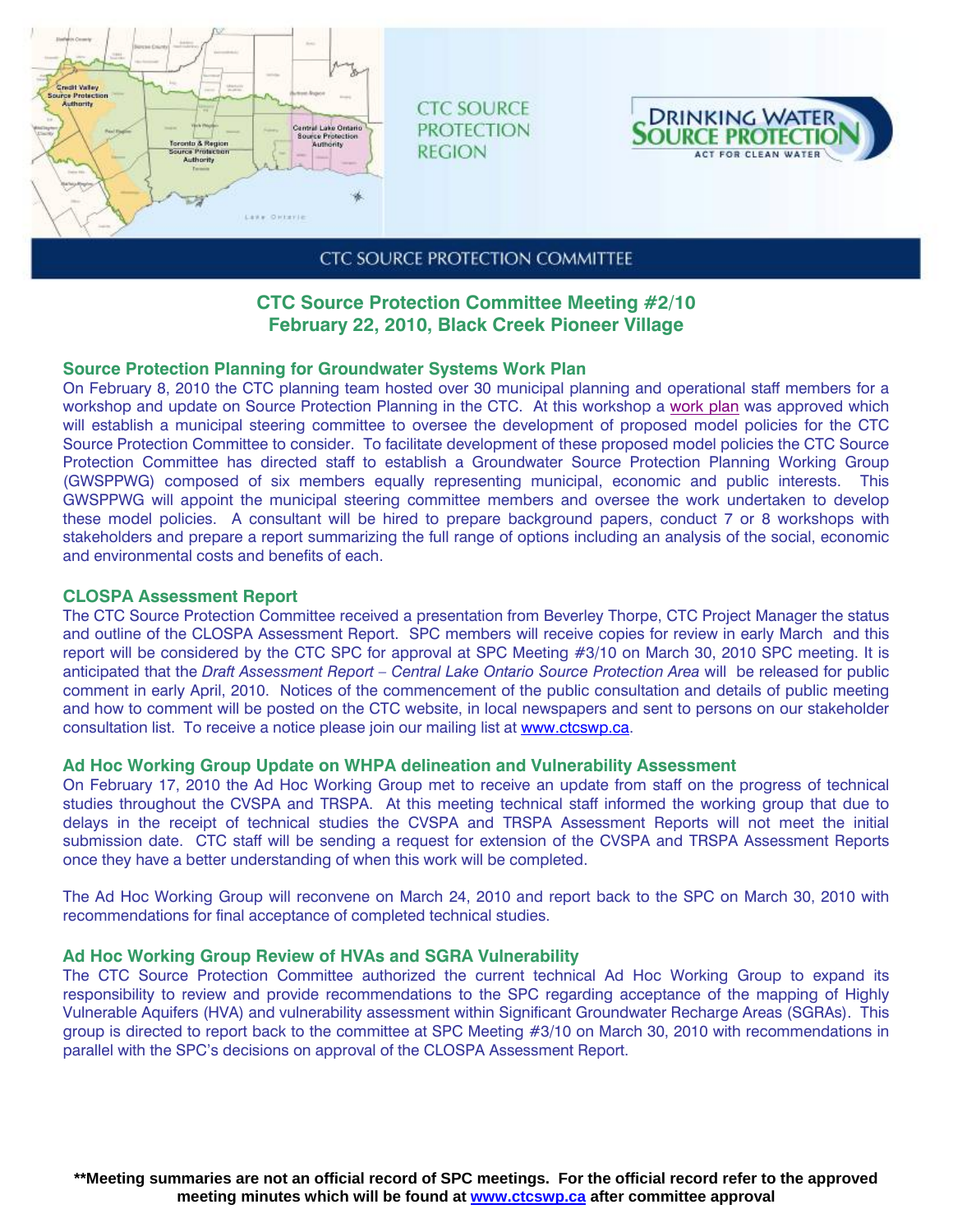

**CTC SOURCE PROTECTION REGION** 



## **CTC SOURCE PROTECTION COMMITTEE**

# **CTC Source Protection Committee Meeting #2/10 February 22, 2010, Black Creek Pioneer Village**

### **Source Protection Planning for Groundwater Systems Work Plan**

On February 8, 2010 the CTC planning team hosted over 30 municipal planning and operational staff members for a workshop and update on Source Protection Planning in the CTC. At this workshop a [work plan](http://www.ctcswp.ca/files/Workplan%20for%20development%20of%20the%20Source%20Protection%20Plan%20Policy%20Approaches%20for%20the%20CTC%20Region_FINAL.pdf) was approved which will establish a municipal steering committee to oversee the development of proposed model policies for the CTC Source Protection Committee to consider. To facilitate development of these proposed model policies the CTC Source Protection Committee has directed staff to establish a Groundwater Source Protection Planning Working Group (GWSPPWG) composed of six members equally representing municipal, economic and public interests. This GWSPPWG will appoint the municipal steering committee members and oversee the work undertaken to develop these model policies. A consultant will be hired to prepare background papers, conduct 7 or 8 workshops with stakeholders and prepare a report summarizing the full range of options including an analysis of the social, economic and environmental costs and benefits of each.

### **CLOSPA Assessment Report**

The CTC Source Protection Committee received a presentation from Beverley Thorpe, CTC Project Manager the status and outline of the CLOSPA Assessment Report. SPC members will receive copies for review in early March and this report will be considered by the CTC SPC for approval at SPC Meeting #3/10 on March 30, 2010 SPC meeting. It is anticipated that the *Draft Assessment Report – Central Lake Ontario Source Protection Area* will be released for public comment in early April, 2010. Notices of the commencement of the public consultation and details of public meeting and how to comment will be posted on the CTC website, in local newspapers and sent to persons on our stakeholder consultation list. To receive a notice please join our mailing list at www.ctcswp.ca.

### **Ad Hoc Working Group Update on WHPA delineation and Vulnerability Assessment**

On February 17, 2010 the Ad Hoc Working Group met to receive an update from staff on the progress of technical studies throughout the CVSPA and TRSPA. At this meeting technical staff informed the working group that due to delays in the receipt of technical studies the CVSPA and TRSPA Assessment Reports will not meet the initial submission date. CTC staff will be sending a request for extension of the CVSPA and TRSPA Assessment Reports once they have a better understanding of when this work will be completed.

The Ad Hoc Working Group will reconvene on March 24, 2010 and report back to the SPC on March 30, 2010 with recommendations for final acceptance of completed technical studies.

## **Ad Hoc Working Group Review of HVAs and SGRA Vulnerability**

The CTC Source Protection Committee authorized the current technical Ad Hoc Working Group to expand its responsibility to review and provide recommendations to the SPC regarding acceptance of the mapping of Highly Vulnerable Aquifers (HVA) and vulnerability assessment within Significant Groundwater Recharge Areas (SGRAs). This group is directed to report back to the committee at SPC Meeting #3/10 on March 30, 2010 with recommendations in parallel with the SPC's decisions on approval of the CLOSPA Assessment Report.